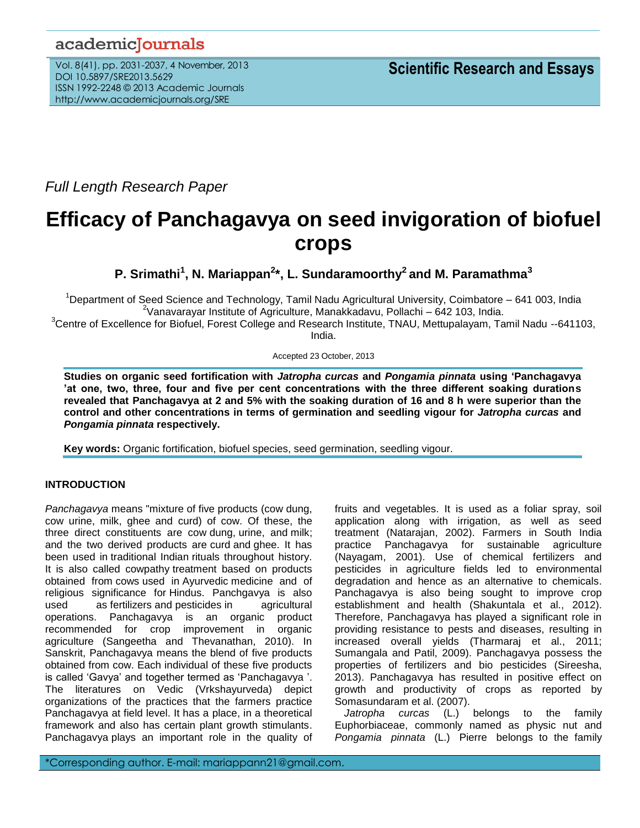# academicJournals

Vol. 8(41), pp. 2031-2037, 4 November, 2013 DOI 10.5897/SRE2013.5629 ISSN 1992-2248 © 2013 Academic Journals http://www.academicjournals.org/SRE

*Full Length Research Paper*

# **Efficacy of Panchagavya on seed invigoration of biofuel crops**

**P. Srimathi<sup>1</sup> , N. Mariappan<sup>2</sup> \*, L. Sundaramoorthy<sup>2</sup>and M. Paramathma<sup>3</sup>**

<sup>1</sup>Department of Seed Science and Technology, Tamil Nadu Agricultural University, Coimbatore – 641 003, India  $2$ Vanavarayar Institute of Agriculture, Manakkadavu, Pollachi – 642 103, India.

<sup>3</sup>Centre of Excellence for Biofuel, Forest College and Research Institute, TNAU, Mettupalayam, Tamil Nadu --641103, India.

Accepted 23 October, 2013

**Studies on organic seed fortification with** *Jatropha curcas* **and** *Pongamia pinnata* **using 'Panchagavya 'at one, two, three, four and five per cent concentrations with the three different soaking durations revealed that Panchagavya at 2 and 5% with the soaking duration of 16 and 8 h were superior than the control and other concentrations in terms of germination and seedling vigour for** *Jatropha curcas* **and**  *Pongamia pinnata* **respectively.**

**Key words:** Organic fortification, biofuel species, seed germination, seedling vigour.

# **INTRODUCTION**

*Panchagavya* means "mixture of five products (cow dung, cow urine, milk, ghee and curd) of cow. Of these, the three direct constituents are cow [dung,](http://en.wikipedia.org/wiki/Manure) [urine,](http://en.wikipedia.org/wiki/Urine) and [milk;](http://en.wikipedia.org/wiki/Milk) and the two derived products are [curd](http://en.wikipedia.org/wiki/Curd) and [ghee.](http://en.wikipedia.org/wiki/Ghee) It has been used in [traditional Indian](http://en.wikipedia.org/wiki/History_of_India) rituals throughout history. It is also called cowpathy treatment based on products obtained from [cows](http://en.wikipedia.org/wiki/Cow) used in [Ayurvedic](http://en.wikipedia.org/wiki/Ayurvedic) medicine and of religious significance for [Hindus.](http://en.wikipedia.org/wiki/Hindu) Panchgavya is also used as [fertilizers](http://en.wikipedia.org/wiki/Fertilizers) and [pesticides](http://en.wikipedia.org/wiki/Pesticides) in agricultural operations. Panchagavya is an organic product recommended for crop improvement in organic agriculture (Sangeetha and Thevanathan, 2010). In Sanskrit, Panchagavya means the blend of five products obtained from cow. Each individual of these five products is called 'Gavya' and together termed as 'Panchagavya '. The literatures on Vedic (Vrkshayurveda) depict organizations of the practices that the farmers practice Panchagavya at field level. It has a place, in a theoretical framework and also has certain plant growth stimulants. Panchagavya plays an important role in the quality of fruits and vegetables. It is used as a foliar spray, soil application along with irrigation, as well as seed treatment (Natarajan, 2002). Farmers in South India practice Panchagavya for sustainable agriculture (Nayagam, 2001). Use of chemical fertilizers and pesticides in agriculture fields led to environmental degradation and hence as an alternative to chemicals. Panchagavya is also being sought to improve crop establishment and health (Shakuntala et al., 2012). Therefore, Panchagavya has played a significant role in providing resistance to pests and diseases, resulting in increased overall yields (Tharmaraj et al., 2011; Sumangala and Patil, 2009). Panchagavya possess the properties of fertilizers and bio pesticides (Sireesha, 2013). Panchagavya has resulted in positive effect on growth and productivity of crops as reported by Somasundaram et al. (2007).

*Jatropha curcas* (L.) belongs to the family Euphorbiaceae, commonly named as physic nut and *Pongamia pinnata* (L.) Pierre belongs to the family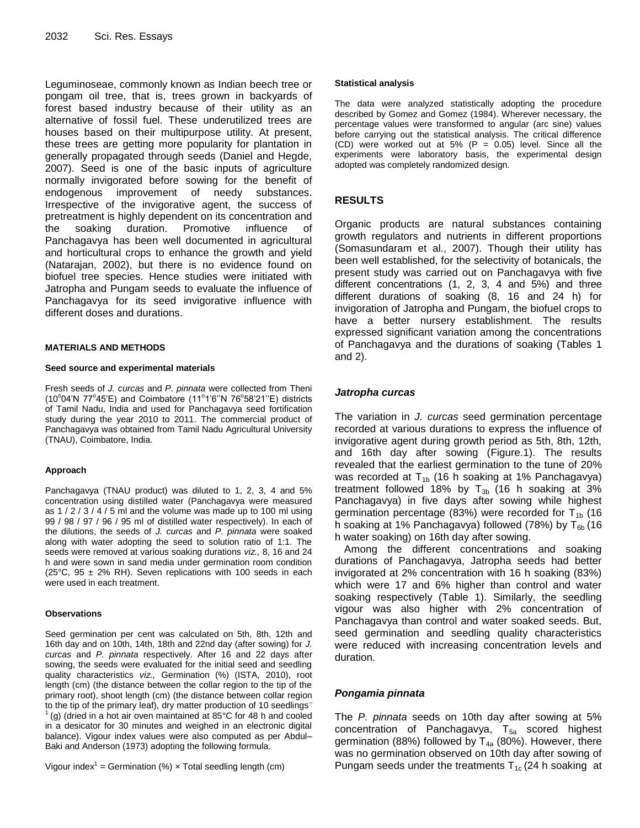Leguminoseae, commonly known as Indian beech tree or pongam oil tree, that is, trees grown in backyards of forest based industry because of their utility as an alternative of fossil fuel. These underutilized trees are houses based on their multipurpose utility. At present, these trees are getting more popularity for plantation in generally propagated through seeds (Daniel and Hegde, 2007). Seed is one of the basic inputs of agriculture normally invigorated before sowing for the benefit of endogenous improvement of needy substances. Irrespective of the invigorative agent, the success of pretreatment is highly dependent on its concentration and the soaking duration. Promotive influence of Panchagavya has been well documented in agricultural and horticultural crops to enhance the growth and yield (Natarajan, 2002), but there is no evidence found on biofuel tree species. Hence studies were initiated with Jatropha and Pungam seeds to evaluate the influence of Panchagavya for its seed invigorative influence with different doses and durations.

#### **MATERIALS AND METHODS**

#### **Seed source and experimental materials**

Fresh seeds of *J. curcas* and *P. pinnata* were collected from Theni (10°04'N 77°45'E) and Coimbatore (11°1'6"N 76°58'21"E) districts of Tamil Nadu, India and used for Panchagavya seed fortification study during the year 2010 to 2011. The commercial product of Panchagavya was obtained from Tamil Nadu Agricultural University (TNAU), Coimbatore, India.

#### **Approach**

Panchagavya (TNAU product) was diluted to 1, 2, 3, 4 and 5% concentration using distilled water (Panchagavya were measured as 1 / 2 / 3 / 4 / 5 ml and the volume was made up to 100 ml using 99 / 98 / 97 / 96 / 95 ml of distilled water respectively). In each of the dilutions, the seeds of *J. curcas* and *P. pinnata* were soaked along with water adopting the seed to solution ratio of 1:1. The seeds were removed at various soaking durations *viz.,* 8, 16 and 24 h and were sown in sand media under germination room condition (25°C, 95  $\pm$  2% RH). Seven replications with 100 seeds in each were used in each treatment.

#### **Observations**

Seed germination per cent was calculated on 5th, 8th, 12th and 16th day and on 10th, 14th, 18th and 22nd day (after sowing) for *J. curcas* and *P. pinnata* respectively. After 16 and 22 days after sowing, the seeds were evaluated for the initial seed and seedling quality characteristics *viz.,* Germination (%) (ISTA, 2010), root length (cm) (the distance between the collar region to the tip of the primary root), shoot length (cm) (the distance between collar region to the tip of the primary leaf), dry matter production of 10 seedlings– (g) (dried in a hot air oven maintained at  $85^{\circ}$ C for 48 h and cooled in a desicator for 30 minutes and weighed in an electronic digital balance). Vigour index values were also computed as per Abdul– Baki and Anderson (1973) adopting the following formula.

Vigour index<sup>1</sup> = Germination (%)  $\times$  Total seedling length (cm)

#### **Statistical analysis**

The data were analyzed statistically adopting the procedure described by Gomez and Gomez (1984). Wherever necessary, the percentage values were transformed to angular (arc sine) values before carrying out the statistical analysis. The critical difference (CD) were worked out at 5% (P =  $0.05$ ) level. Since all the experiments were laboratory basis, the experimental design adopted was completely randomized design.

## **RESULTS**

Organic products are natural substances containing growth regulators and nutrients in different proportions (Somasundaram et al., 2007). Though their utility has been well established, for the selectivity of botanicals, the present study was carried out on Panchagavya with five different concentrations (1, 2, 3, 4 and 5%) and three different durations of soaking (8, 16 and 24 h) for invigoration of Jatropha and Pungam, the biofuel crops to have a better nursery establishment. The results expressed significant variation among the concentrations of Panchagavya and the durations of soaking (Tables 1 and 2).

### *Jatropha curcas*

The variation in *J. curcas* seed germination percentage recorded at various durations to express the influence of invigorative agent during growth period as 5th, 8th, 12th, and 16th day after sowing (Figure.1). The results revealed that the earliest germination to the tune of 20% was recorded at  $T_{1b}$  (16 h soaking at 1% Panchagavya) treatment followed 18% by  $T_{3b}$  (16 h soaking at 3% Panchagavya) in five days after sowing while highest germination percentage (83%) were recorded for  $T_{1b}$  (16 h soaking at 1% Panchagavya) followed (78%) by  $T_{6b}$  (16 h water soaking) on 16th day after sowing.

Among the different concentrations and soaking durations of Panchagavya, Jatropha seeds had better invigorated at 2% concentration with 16 h soaking (83%) which were 17 and 6% higher than control and water soaking respectively (Table 1). Similarly, the seedling vigour was also higher with 2% concentration of Panchagavya than control and water soaked seeds. But, seed germination and seedling quality characteristics were reduced with increasing concentration levels and duration.

# *Pongamia pinnata*

The *P. pinnata* seeds on 10th day after sowing at 5% concentration of Panchagavya,  $T_{5a}$  scored highest germination (88%) followed by  $T_{4a}$  (80%). However, there was no germination observed on 10th day after sowing of Pungam seeds under the treatments  $T_{1c}$  (24 h soaking at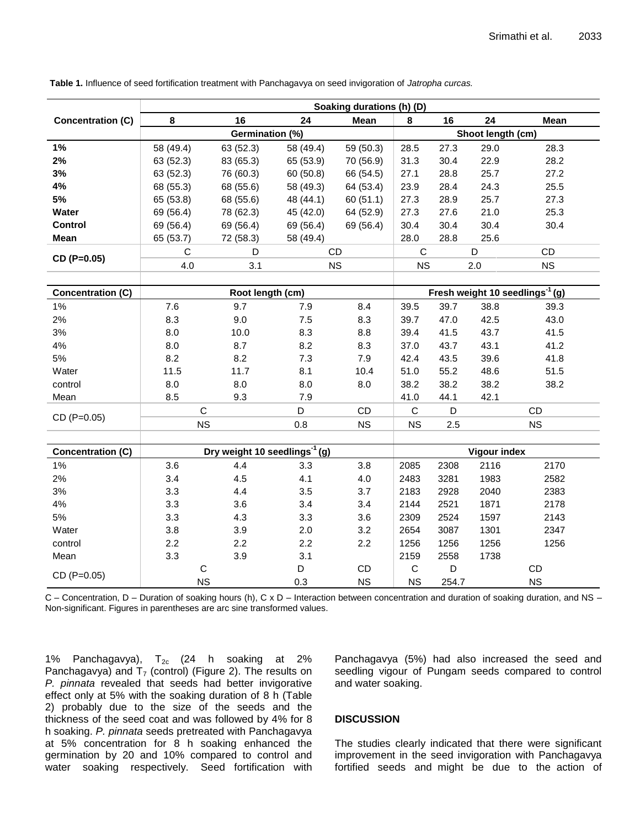|                          | Soaking durations (h) (D)                 |           |                  |           |                   |                                             |      |           |  |  |
|--------------------------|-------------------------------------------|-----------|------------------|-----------|-------------------|---------------------------------------------|------|-----------|--|--|
| <b>Concentration (C)</b> | 8                                         | 16        | 24               | Mean      | 8                 | 16                                          | 24   | Mean      |  |  |
|                          | Germination (%)                           |           |                  |           | Shoot length (cm) |                                             |      |           |  |  |
| 1%                       | 58 (49.4)                                 | 63 (52.3) | 58 (49.4)        | 59 (50.3) | 28.5              | 27.3                                        | 29.0 | 28.3      |  |  |
| 2%                       | 63 (52.3)                                 | 83 (65.3) | 65 (53.9)        | 70 (56.9) | 31.3              | 30.4                                        | 22.9 | 28.2      |  |  |
| 3%                       | 63 (52.3)                                 | 76 (60.3) | 60 (50.8)        | 66 (54.5) | 27.1              | 28.8                                        | 25.7 | 27.2      |  |  |
| 4%                       | 68 (55.3)                                 | 68 (55.6) | 58 (49.3)        | 64 (53.4) | 23.9              | 28.4                                        | 24.3 | 25.5      |  |  |
| 5%                       | 65 (53.8)                                 | 68 (55.6) | 48 (44.1)        | 60(51.1)  | 27.3              | 28.9                                        | 25.7 | 27.3      |  |  |
| Water                    | 69 (56.4)                                 | 78 (62.3) | 45 (42.0)        | 64 (52.9) | 27.3              | 27.6                                        | 21.0 | 25.3      |  |  |
| <b>Control</b>           | 69 (56.4)                                 | 69 (56.4) | 69 (56.4)        | 69 (56.4) | 30.4              | 30.4                                        | 30.4 | 30.4      |  |  |
| <b>Mean</b>              | 65 (53.7)                                 | 72 (58.3) | 58 (49.4)        |           | 28.0              | 28.8                                        | 25.6 |           |  |  |
| CD (P=0.05)              | C                                         | D         | CD               |           | $\mathsf{C}$      |                                             | D    | CD        |  |  |
|                          | 4.0                                       | 3.1       | <b>NS</b>        |           | <b>NS</b>         |                                             | 2.0  | <b>NS</b> |  |  |
|                          |                                           |           |                  |           |                   |                                             |      |           |  |  |
| <b>Concentration (C)</b> | Root length (cm)                          |           |                  |           |                   | Fresh weight 10 seedlings <sup>-1</sup> (g) |      |           |  |  |
| $1\%$                    | 7.6                                       | 9.7       | 7.9              | 8.4       | 39.5              | 39.7                                        | 38.8 | 39.3      |  |  |
| 2%                       | 8.3                                       | 9.0       | 7.5              | 8.3       | 39.7              | 47.0                                        | 42.5 | 43.0      |  |  |
| 3%                       | 8.0                                       | 10.0      | 8.3              | 8.8       | 39.4              | 41.5                                        | 43.7 | 41.5      |  |  |
| 4%                       | 8.0                                       | 8.7       | 8.2              | 8.3       | 37.0              | 43.7                                        | 43.1 | 41.2      |  |  |
| 5%                       | 8.2                                       | 8.2       | 7.3              | 7.9       | 42.4              | 43.5                                        | 39.6 | 41.8      |  |  |
| Water                    | 11.5                                      | 11.7      | 8.1              | 10.4      | 51.0              | 55.2                                        | 48.6 | 51.5      |  |  |
| control                  | 8.0                                       | 8.0       | 8.0              | 8.0       | 38.2              | 38.2                                        | 38.2 | 38.2      |  |  |
| Mean                     | 8.5                                       | 9.3       | 7.9              |           | 41.0              | 44.1                                        | 42.1 |           |  |  |
| CD (P=0.05)              | $\mathsf{C}$                              |           | D                | CD        | $\mathsf{C}$      | D                                           |      | CD        |  |  |
|                          | <b>NS</b>                                 |           | 0.8              | <b>NS</b> | <b>NS</b>         | 2.5                                         |      | <b>NS</b> |  |  |
|                          |                                           |           |                  |           |                   |                                             |      |           |  |  |
| <b>Concentration (C)</b> | Dry weight 10 seedlings <sup>-1</sup> (g) |           |                  |           |                   | <b>Vigour index</b>                         |      |           |  |  |
| $1\%$                    | 3.6                                       | 4.4       | 3.3              | 3.8       | 2085              | 2308                                        | 2116 | 2170      |  |  |
| 2%                       | 3.4                                       | 4.5       | 4.1              | 4.0       | 2483              | 3281                                        | 1983 | 2582      |  |  |
| 3%                       | 3.3                                       | 4.4       | 3.5              | 3.7       | 2183              | 2928                                        | 2040 | 2383      |  |  |
| 4%                       | 3.3                                       | 3.6       | 3.4              | 3.4       | 2144              | 2521                                        | 1871 | 2178      |  |  |
| 5%                       | 3.3                                       | 4.3       | 3.3              | 3.6       | 2309              | 2524                                        | 1597 | 2143      |  |  |
| Water                    | 3.8                                       | 3.9       | 2.0              | 3.2       | 2654              | 3087                                        | 1301 | 2347      |  |  |
| control                  | 2.2                                       | 2.2       | 2.2              | 2.2       | 1256              | 1256                                        | 1256 | 1256      |  |  |
| Mean                     | 3.3                                       | 3.9       | 3.1              |           | 2159              | 2558                                        | 1738 |           |  |  |
| CD (P=0.05)              | $\mathbf C$                               |           | D                | CD        | $\mathsf C$       | D                                           |      | CD        |  |  |
|                          | <b>NS</b>                                 |           | <b>NS</b><br>0.3 |           | <b>NS</b>         | 254.7                                       |      | <b>NS</b> |  |  |

**Table 1.** Influence of seed fortification treatment with Panchagavya on seed invigoration of *Jatropha curcas.*

C – Concentration, D – Duration of soaking hours (h), C x D – Interaction between concentration and duration of soaking duration, and NS – Non-significant. Figures in parentheses are arc sine transformed values.

1% Panchagavya),  $T_{2c}$  (24 h soaking at 2% Panchagavya) and  $T_7$  (control) (Figure 2). The results on *P. pinnata* revealed that seeds had better invigorative effect only at 5% with the soaking duration of 8 h (Table 2) probably due to the size of the seeds and the thickness of the seed coat and was followed by 4% for 8 h soaking. *P. pinnata* seeds pretreated with Panchagavya at 5% concentration for 8 h soaking enhanced the germination by 20 and 10% compared to control and water soaking respectively. Seed fortification with

Panchagavya (5%) had also increased the seed and seedling vigour of Pungam seeds compared to control and water soaking.

# **DISCUSSION**

The studies clearly indicated that there were significant improvement in the seed invigoration with Panchagavya fortified seeds and might be due to the action of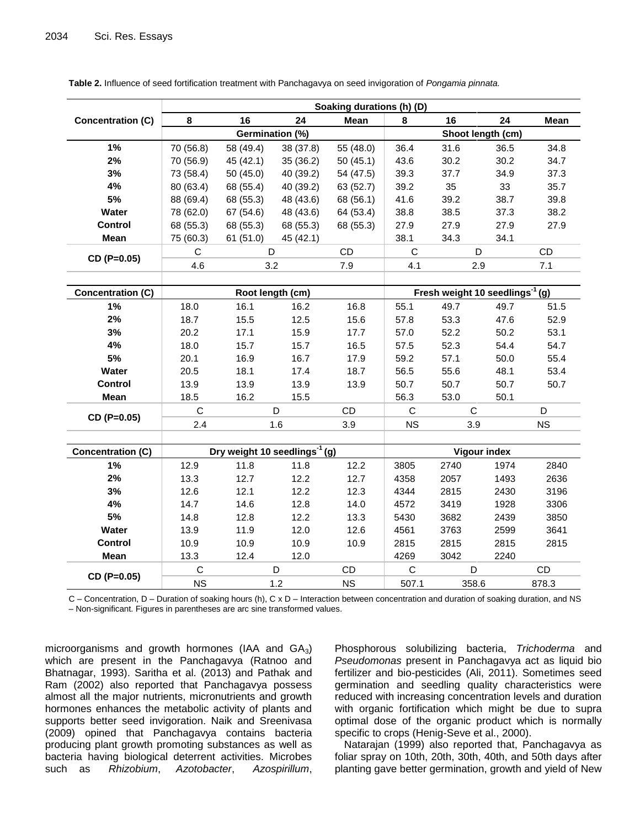|                          | Soaking durations (h) (D) |                                             |           |             |                   |                     |      |           |  |  |  |
|--------------------------|---------------------------|---------------------------------------------|-----------|-------------|-------------------|---------------------|------|-----------|--|--|--|
| <b>Concentration (C)</b> | 8                         | 16                                          | 24        | <b>Mean</b> | 8                 | 16                  | 24   | Mean      |  |  |  |
|                          | Germination (%)           |                                             |           |             | Shoot length (cm) |                     |      |           |  |  |  |
| 1%                       | 70 (56.8)                 | 58 (49.4)                                   | 38 (37.8) | 55 (48.0)   | 36.4              | 31.6                | 36.5 | 34.8      |  |  |  |
| 2%                       | 70 (56.9)                 | 45(42.1)                                    | 35 (36.2) | 50(45.1)    | 43.6              | 30.2                | 30.2 | 34.7      |  |  |  |
| 3%                       | 73 (58.4)                 | 50(45.0)                                    | 40 (39.2) | 54 (47.5)   | 39.3              | 37.7                | 34.9 | 37.3      |  |  |  |
| 4%                       | 80 (63.4)                 | 68 (55.4)                                   | 40 (39.2) | 63 (52.7)   | 39.2              | 35                  | 33   | 35.7      |  |  |  |
| 5%                       | 88 (69.4)                 | 68 (55.3)                                   | 48 (43.6) | 68 (56.1)   | 41.6              | 39.2                | 38.7 | 39.8      |  |  |  |
| Water                    | 78 (62.0)                 | 67 (54.6)                                   | 48 (43.6) | 64 (53.4)   | 38.8              | 38.5                | 37.3 | 38.2      |  |  |  |
| Control                  | 68 (55.3)                 | 68 (55.3)                                   | 68 (55.3) | 68 (55.3)   | 27.9              | 27.9                | 27.9 | 27.9      |  |  |  |
| Mean                     | 75 (60.3)                 | 61(51.0)                                    | 45 (42.1) |             | 38.1              | 34.3                | 34.1 |           |  |  |  |
| CD (P=0.05)              | C                         | D                                           |           | CD          | $\mathbf C$       |                     | D    | CD        |  |  |  |
|                          | 4.6                       |                                             | 3.2       | 7.9         | 4.1               |                     | 2.9  | 7.1       |  |  |  |
|                          |                           |                                             |           |             |                   |                     |      |           |  |  |  |
| <b>Concentration (C)</b> |                           | Fresh weight 10 seedlings <sup>-1</sup> (g) |           |             |                   |                     |      |           |  |  |  |
| $1\%$                    | 18.0                      | 16.1                                        | 16.2      | 16.8        | 55.1              | 49.7                | 49.7 | 51.5      |  |  |  |
| 2%                       | 18.7                      | 15.5                                        | 12.5      | 15.6        | 57.8              | 53.3                | 47.6 | 52.9      |  |  |  |
| 3%                       | 20.2                      | 17.1                                        | 15.9      | 17.7        | 57.0              | 52.2                | 50.2 | 53.1      |  |  |  |
| 4%                       | 18.0                      | 15.7                                        | 15.7      | 16.5        | 57.5              | 52.3                | 54.4 | 54.7      |  |  |  |
| $5%$                     | 20.1                      | 16.9                                        | 16.7      | 17.9        | 59.2              | 57.1                | 50.0 | 55.4      |  |  |  |
| Water                    | 20.5                      | 18.1                                        | 17.4      | 18.7        | 56.5              | 55.6                | 48.1 | 53.4      |  |  |  |
| <b>Control</b>           | 13.9                      | 13.9                                        | 13.9      | 13.9        | 50.7              | 50.7                | 50.7 | 50.7      |  |  |  |
| Mean                     | 18.5                      | 16.2                                        | 15.5      |             | 56.3              | 53.0                | 50.1 |           |  |  |  |
| CD (P=0.05)              | $\mathsf{C}$              | D                                           |           | CD          | $\mathbf C$       | C                   |      | D         |  |  |  |
|                          | 2.4                       | 1.6                                         |           | 3.9         | <b>NS</b>         | 3.9                 |      | <b>NS</b> |  |  |  |
|                          |                           |                                             |           |             |                   |                     |      |           |  |  |  |
| <b>Concentration (C)</b> |                           | Dry weight 10 seedlings <sup>-1</sup> (g)   |           |             |                   | <b>Vigour index</b> |      |           |  |  |  |
| 1%                       | 12.9                      | 11.8                                        | 11.8      | 12.2        | 3805              | 2740                | 1974 | 2840      |  |  |  |
| 2%                       | 13.3                      | 12.7                                        | 12.2      | 12.7        | 4358              | 2057                | 1493 | 2636      |  |  |  |
| 3%                       | 12.6                      | 12.1                                        | 12.2      | 12.3        | 4344              | 2815                | 2430 | 3196      |  |  |  |
| 4%                       | 14.7                      | 14.6                                        | 12.8      | 14.0        | 4572              | 3419                | 1928 | 3306      |  |  |  |
| 5%                       | 14.8                      | 12.8                                        | 12.2      | 13.3        | 5430              | 3682                | 2439 | 3850      |  |  |  |
| Water                    | 13.9                      | 11.9                                        | 12.0      | 12.6        | 4561              | 3763                | 2599 | 3641      |  |  |  |
| <b>Control</b>           | 10.9                      | 10.9                                        | 10.9      | 10.9        | 2815              | 2815                | 2815 | 2815      |  |  |  |
| Mean                     | 13.3                      | 12.4                                        | 12.0      |             | 4269              | 3042                | 2240 |           |  |  |  |
| CD (P=0.05)              | $\mathbf C$               |                                             | D         | CD          | $\mathsf C$       | D                   |      | CD        |  |  |  |
|                          | <b>NS</b>                 |                                             | 1.2       | <b>NS</b>   | 507.1             | 358.6               |      | 878.3     |  |  |  |

**Table 2.** Influence of seed fortification treatment with Panchagavya on seed invigoration of *Pongamia pinnata.*

C – Concentration, D – Duration of soaking hours (h), C x D – Interaction between concentration and duration of soaking duration, and NS – Non-significant. Figures in parentheses are arc sine transformed values.

microorganisms and growth hormones (IAA and  $GA_3$ ) which are present in the Panchagavya (Ratnoo and Bhatnagar, 1993). Saritha et al. (2013) and Pathak and Ram (2002) also reported that Panchagavya possess almost all the major nutrients, micronutrients and growth hormones enhances the metabolic activity of plants and supports better seed invigoration. Naik and Sreenivasa (2009) opined that Panchagavya contains bacteria producing plant growth promoting substances as well as bacteria having biological deterrent activities. Microbes such as *Rhizobium*, *Azotobacter*, *Azospirillum*,

Phosphorous solubilizing bacteria, *Trichoderma* and *Pseudomonas* present in Panchagavya act as liquid bio fertilizer and bio-pesticides (Ali, 2011). Sometimes seed germination and seedling quality characteristics were reduced with increasing concentration levels and duration with organic fortification which might be due to supra optimal dose of the organic product which is normally specific to crops (Henig-Seve et al., 2000).

Natarajan (1999) also reported that, Panchagavya as foliar spray on 10th, 20th, 30th, 40th, and 50th days after planting gave better germination, growth and yield of New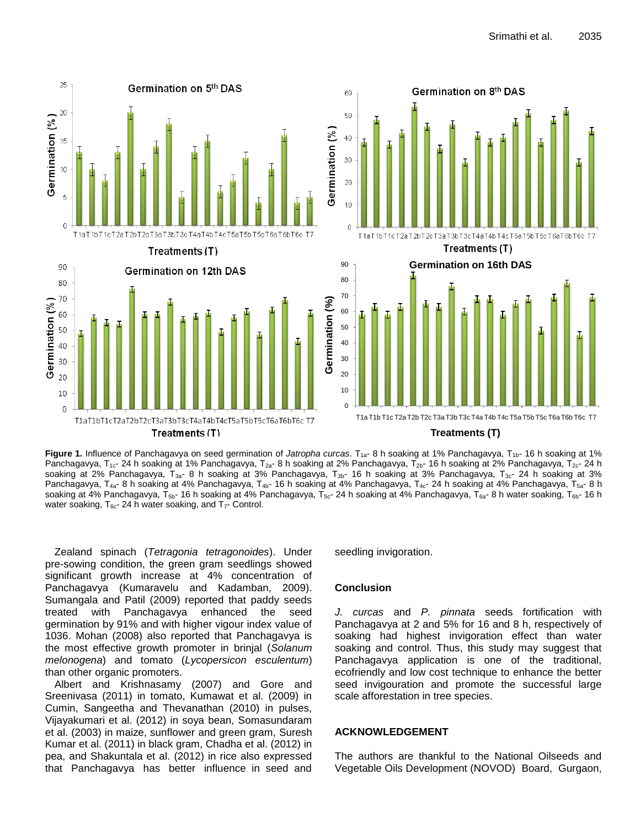

Figure 1. Influence of Panchagavya on seed germination of *Jatropha curcas*. T<sub>1a</sub>- 8 h soaking at 1% Panchagavya, T<sub>1b</sub>- 16 h soaking at 1% Panchagavya, T<sub>1c</sub>- 24 h soaking at 1% Panchagavya, T<sub>2a</sub>- 8 h soaking at 2% Panchagavya, T<sub>2b</sub>- 16 h soaking at 2% Panchagavya, T<sub>2c</sub>- 24 h soaking at 2% Panchagavya, T<sub>3a</sub>- 8 h soaking at 3% Panchagavya, T<sub>3b</sub>- 16 h soaking at 3% Panchagavya, T<sub>3c</sub>- 24 h soaking at 3% Panchagavya, T<sub>4a</sub>- 8 h soaking at 4% Panchagavya, T<sub>4b</sub>- 16 h soaking at 4% Panchagavya, T<sub>4c</sub>- 24 h soaking at 4% Panchagavya, T<sub>5a</sub>- 8 h soaking at 4% Panchagavya,  $T_{5b}$ - 16 h soaking at 4% Panchagavya,  $T_{5c}$ - 24 h soaking at 4% Panchagavya,  $T_{6a}$ - 8 h water soaking,  $T_{6b}$ - 16 h water soaking,  $T_{6c}$ - 24 h water soaking, and  $T_{7}$ - Control.

Zealand spinach (*Tetragonia tetragonoides*). Under pre-sowing condition, the green gram seedlings showed significant growth increase at 4% concentration of Panchagavya (Kumaravelu and Kadamban, 2009). Sumangala and Patil (2009) reported that paddy seeds treated with Panchagavya enhanced the seed germination by 91% and with higher vigour index value of 1036. Mohan (2008) also reported that Panchagavya is the most effective growth promoter in brinjal (*Solanum melonogena*) and tomato (*Lycopersicon esculentum*) than other organic promoters.

Albert and Krishnasamy (2007) and Gore and Sreenivasa (2011) in tomato, Kumawat et al. (2009) in Cumin, Sangeetha and Thevanathan (2010) in pulses, Vijayakumari et al. (2012) in soya bean, Somasundaram et al. (2003) in maize, sunflower and green gram, Suresh Kumar et al. (2011) in black gram, Chadha et al. (2012) in pea, and Shakuntala et al. (2012) in rice also expressed that Panchagavya has better influence in seed and

seedling invigoration.

#### **Conclusion**

*J. curcas* and *P. pinnata* seeds fortification with Panchagavya at 2 and 5% for 16 and 8 h, respectively of soaking had highest invigoration effect than water soaking and control. Thus, this study may suggest that Panchagavya application is one of the traditional, ecofriendly and low cost technique to enhance the better seed invigouration and promote the successful large scale afforestation in tree species.

### **ACKNOWLEDGEMENT**

The authors are thankful to the National Oilseeds and Vegetable Oils Development (NOVOD) Board, Gurgaon,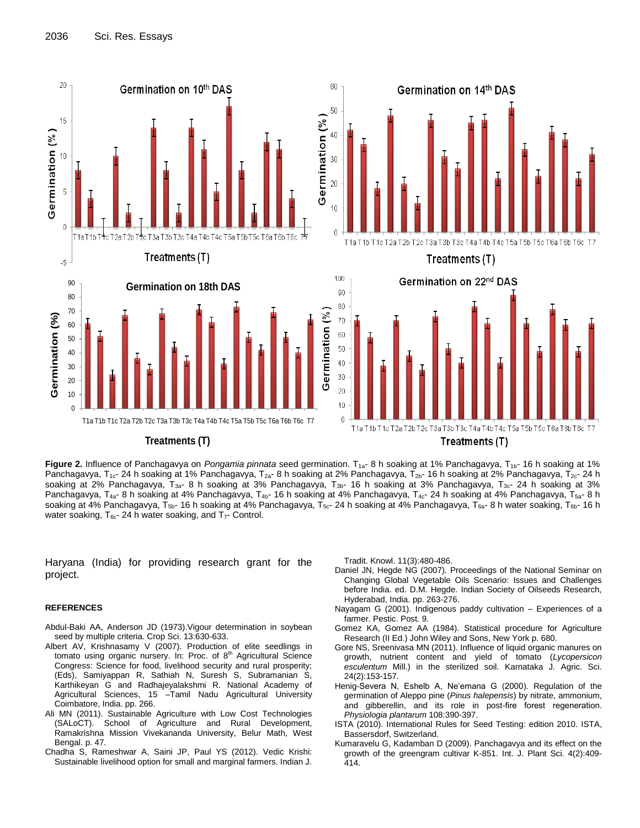

Figure 2. Influence of Panchagavya on Pongamia pinnata seed germination. T<sub>1a</sub>- 8 h soaking at 1% Panchagavya, T<sub>1b</sub>- 16 h soaking at 1% Panchagavya, T<sub>1c</sub>- 24 h soaking at 1% Panchagavya, T<sub>2a</sub>- 8 h soaking at 2% Panchagavya, T<sub>2b</sub>- 16 h soaking at 2% Panchagavya, T<sub>2c</sub>- 24 h soaking at 2% Panchagavya, T<sub>3a</sub>- 8 h soaking at 3% Panchagavya, T<sub>3b</sub>- 16 h soaking at 3% Panchagavya, T<sub>3c</sub>- 24 h soaking at 3% Panchagavya, T<sub>4a</sub>- 8 h soaking at 4% Panchagavya, T<sub>4b</sub>- 16 h soaking at 4% Panchagavya, T<sub>4c</sub>- 24 h soaking at 4% Panchagavya, T<sub>5a</sub>- 8 h soaking at 4% Panchagavya,  $T_{5b}$ - 16 h soaking at 4% Panchagavya,  $T_{5c}$ - 24 h soaking at 4% Panchagavya,  $T_{6a}$ - 8 h water soaking,  $T_{6b}$ - 16 h water soaking,  $T_{6c}$ - 24 h water soaking, and  $T_{7}$ - Control.

Haryana (India) for providing research grant for the project.

#### **REFERENCES**

- Abdul-Baki AA, Anderson JD (1973).Vigour determination in soybean seed by multiple criteria. Crop Sci. 13:630-633.
- Albert AV, Krishnasamy V (2007). Production of elite seedlings in tomato using organic nursery. In: Proc. of  $8<sup>th</sup>$  Agricultural Science Congress: Science for food, livelihood security and rural prosperity; (Eds), Samiyappan R, Sathiah N, Suresh S, Subramanian S, Karthikeyan G and Radhajeyalakshmi R. National Academy of Agricultural Sciences, 15 –Tamil Nadu Agricultural University Coimbatore, India. pp. 266.
- Ali MN (2011). Sustainable Agriculture with Low Cost Technologies (SALoCT). School of Agriculture and Rural Development, Ramakrishna Mission Vivekananda University, Belur Math, West Bengal. p. 47.
- Chadha S, Rameshwar A, Saini JP, Paul YS (2012). Vedic Krishi: Sustainable livelihood option for small and marginal farmers. Indian J.

Tradit. Knowl. 11(3):480-486.

- Daniel JN, Hegde NG (2007). Proceedings of the National Seminar on Changing Global Vegetable Oils Scenario: Issues and Challenges before India. ed. D.M. Hegde. Indian Society of Oilseeds Research, Hyderabad, India. pp. 263-276.
- Nayagam G (2001). Indigenous paddy cultivation Experiences of a farmer. Pestic. Post. 9.
- Gomez KA, Gomez AA (1984). Statistical procedure for Agriculture Research (II Ed.) John Wiley and Sons, New York p. 680.
- Gore NS, Sreenivasa MN (2011). Influence of liquid organic manures on growth, nutrient content and yield of tomato (*Lycopersicon esculentum* Mill.) in the sterilized soil. Karnataka J. Agric. Sci. 24(2):153-157.
- Henig-Severa N, Eshelb A, Ne'emana G (2000). Regulation of the germination of Aleppo pine (*Pinus halepensis*) by nitrate, ammonium, and gibberellin, and its role in post-fire forest regeneration. *Physiologia plantarum* 108:390-397.
- ISTA (2010). International Rules for Seed Testing: edition 2010. ISTA, Bassersdorf, Switzerland.
- Kumaravelu G, Kadamban D (2009). Panchagavya and its effect on the growth of the greengram cultivar K-851. Int. J. Plant Sci. 4(2):409- 414.